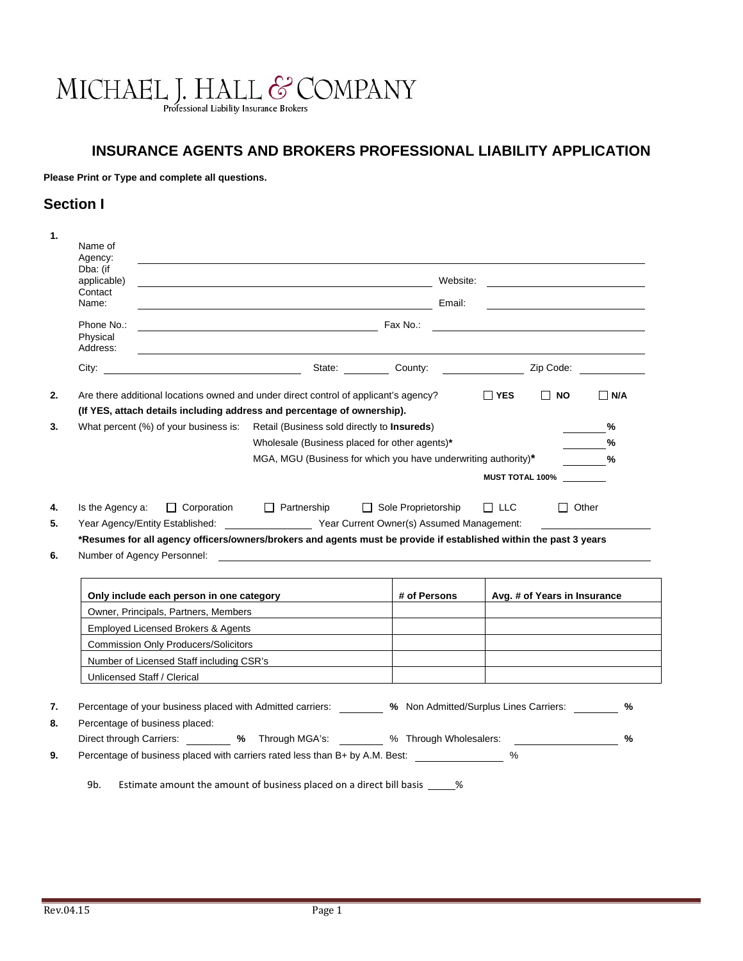# MICHAEL J. HALL & COMPANY

# **INSURANCE AGENTS AND BROKERS PROFESSIONAL LIABILITY APPLICATION**

**Please Print or Type and complete all questions.** 

# **Section I**

| Name of<br>Agency:                 |                                                                            |                                                                                                                                                                                                                                                                                                   |                                                                |              |            |                              |               |
|------------------------------------|----------------------------------------------------------------------------|---------------------------------------------------------------------------------------------------------------------------------------------------------------------------------------------------------------------------------------------------------------------------------------------------|----------------------------------------------------------------|--------------|------------|------------------------------|---------------|
| Dba: (if<br>applicable)            |                                                                            | <u> 1989 - Jan Samuel Barbara, martin da shekara 1989 - An tsara 1989 - An tsara 1989 - An tsara 1989 - An tsara</u>                                                                                                                                                                              |                                                                | Website:     |            |                              |               |
| Contact<br>Name:                   |                                                                            | <u>Email: Email: Email: Email: Email: Email: Email:</u>                                                                                                                                                                                                                                           |                                                                |              |            |                              |               |
| Phone No.:<br>Physical<br>Address: |                                                                            | $\mathsf{F}$ as $\mathsf{N}$ on $\mathsf{R}$ as $\mathsf{N}$ on $\mathsf{S}$ . The set of $\mathsf{S}$ and $\mathsf{S}$ are $\mathsf{S}$ and $\mathsf{S}$ are $\mathsf{S}$ and $\mathsf{S}$ are $\mathsf{S}$ and $\mathsf{S}$ are $\mathsf{S}$ and $\mathsf{S}$ are $\mathsf{S}$ and $\mathsf{S}$ |                                                                |              |            |                              |               |
|                                    |                                                                            | City: City: Zip Code: City: Zip Code: 21 County: Zip Code: 21 County: 22 County: 22 Code: 22 Code: 2                                                                                                                                                                                              |                                                                |              |            |                              |               |
|                                    |                                                                            | Are there additional locations owned and under direct control of applicant's agency?                                                                                                                                                                                                              |                                                                |              | $\Box$ YES | $\Box$ NO                    | $\Box$ N/A    |
|                                    |                                                                            | (If YES, attach details including address and percentage of ownership).                                                                                                                                                                                                                           |                                                                |              |            |                              |               |
|                                    |                                                                            | What percent (%) of your business is: Retail (Business sold directly to Insureds)                                                                                                                                                                                                                 |                                                                |              |            |                              | %             |
|                                    |                                                                            | Wholesale (Business placed for other agents)*                                                                                                                                                                                                                                                     |                                                                |              |            |                              | %             |
|                                    |                                                                            |                                                                                                                                                                                                                                                                                                   |                                                                |              |            |                              |               |
|                                    |                                                                            |                                                                                                                                                                                                                                                                                                   | MGA, MGU (Business for which you have underwriting authority)* |              |            |                              | %             |
|                                    |                                                                            |                                                                                                                                                                                                                                                                                                   |                                                                |              |            | <b>MUST TOTAL 100%</b>       |               |
|                                    |                                                                            |                                                                                                                                                                                                                                                                                                   |                                                                |              |            |                              |               |
| Is the Agency a:                   | $\Box$ Corporation                                                         | $\Box$ Partnership<br>Year Agency/Entity Established: Year Current Owner(s) Assumed Management:                                                                                                                                                                                                   | $\Box$ Sole Proprietorship                                     |              | $\Box$ LLC | $\Box$ Other                 |               |
| Number of Agency Personnel:        |                                                                            | *Resumes for all agency officers/owners/brokers and agents must be provide if established within the past 3 years<br><u> 1989 - Johann Barbara, martin amerikan basal dan berasal dan berasal dalam basal dan berasal dan berasal dan</u>                                                         |                                                                |              |            |                              |               |
|                                    |                                                                            | Only include each person in one category                                                                                                                                                                                                                                                          |                                                                | # of Persons |            | Avg. # of Years in Insurance |               |
|                                    | Owner, Principals, Partners, Members<br>Employed Licensed Brokers & Agents |                                                                                                                                                                                                                                                                                                   |                                                                |              |            |                              |               |
|                                    | <b>Commission Only Producers/Solicitors</b>                                |                                                                                                                                                                                                                                                                                                   |                                                                |              |            |                              |               |
|                                    |                                                                            |                                                                                                                                                                                                                                                                                                   |                                                                |              |            |                              |               |
|                                    |                                                                            |                                                                                                                                                                                                                                                                                                   |                                                                |              |            |                              |               |
| Unlicensed Staff / Clerical        |                                                                            | Number of Licensed Staff including CSR's                                                                                                                                                                                                                                                          |                                                                |              |            |                              |               |
|                                    |                                                                            |                                                                                                                                                                                                                                                                                                   |                                                                |              |            |                              |               |
|                                    |                                                                            | Percentage of your business placed with Admitted carriers: 48 Mon Admitted/Surplus Lines Carriers:                                                                                                                                                                                                |                                                                |              |            |                              | %             |
| Percentage of business placed:     |                                                                            |                                                                                                                                                                                                                                                                                                   |                                                                |              |            |                              |               |
|                                    |                                                                            | Direct through Carriers: ________ % Through MGA's: _______ % Through Wholesalers: _________________<br>Percentage of business placed with carriers rated less than B+ by A.M. Best:                                                                                                               |                                                                |              | %          |                              | $\frac{9}{6}$ |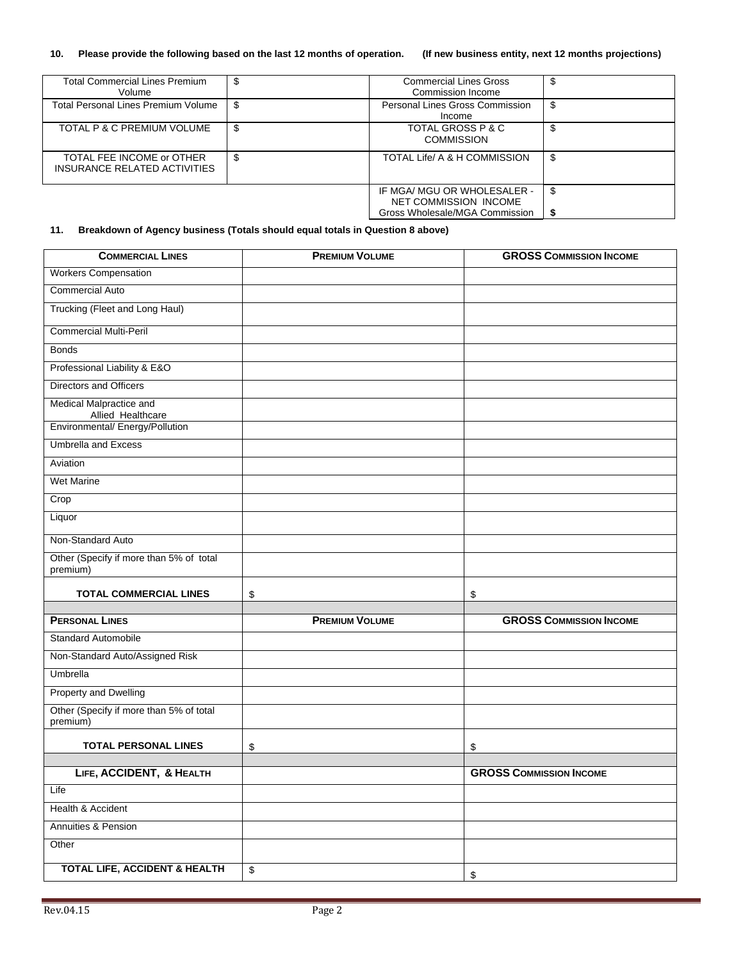## **10. Please provide the following based on the last 12 months of operation. (If new business entity, next 12 months projections)**

| <b>Total Commercial Lines Premium</b><br>Volume           | S  | <b>Commercial Lines Gross</b><br>Commission Income   | \$  |
|-----------------------------------------------------------|----|------------------------------------------------------|-----|
| <b>Total Personal Lines Premium Volume</b>                | S  | <b>Personal Lines Gross Commission</b><br>Income     | \$  |
| TOTAL P & C PREMIUM VOLUME                                | S  | TOTAL GROSS P & C<br><b>COMMISSION</b>               | \$  |
| TOTAL FEE INCOME or OTHER<br>INSURANCE RELATED ACTIVITIES | \$ | TOTAL Life/ A & H COMMISSION                         | \$  |
|                                                           |    | IF MGA/ MGU OR WHOLESALER -<br>NET COMMISSION INCOME | \$  |
|                                                           |    | Gross Wholesale/MGA Commission                       | -\$ |

# **11. Breakdown of Agency business (Totals should equal totals in Question 8 above)**

| <b>COMMERCIAL LINES</b>                              | <b>PREMIUM VOLUME</b> | <b>GROSS COMMISSION INCOME</b> |
|------------------------------------------------------|-----------------------|--------------------------------|
| <b>Workers Compensation</b>                          |                       |                                |
| <b>Commercial Auto</b>                               |                       |                                |
| Trucking (Fleet and Long Haul)                       |                       |                                |
| <b>Commercial Multi-Peril</b>                        |                       |                                |
| <b>Bonds</b>                                         |                       |                                |
| Professional Liability & E&O                         |                       |                                |
| Directors and Officers                               |                       |                                |
| Medical Malpractice and                              |                       |                                |
| Allied Healthcare<br>Environmental/ Energy/Pollution |                       |                                |
| <b>Umbrella and Excess</b>                           |                       |                                |
| Aviation                                             |                       |                                |
| <b>Wet Marine</b>                                    |                       |                                |
| Crop                                                 |                       |                                |
| Liquor                                               |                       |                                |
| Non-Standard Auto                                    |                       |                                |
| Other (Specify if more than 5% of total<br>premium)  |                       |                                |
| <b>TOTAL COMMERCIAL LINES</b>                        | \$                    | \$                             |
|                                                      |                       |                                |
| <b>PERSONAL LINES</b>                                | <b>PREMIUM VOLUME</b> | <b>GROSS COMMISSION INCOME</b> |
| <b>Standard Automobile</b>                           |                       |                                |
| Non-Standard Auto/Assigned Risk                      |                       |                                |
| <b>Umbrella</b>                                      |                       |                                |
| <b>Property and Dwelling</b>                         |                       |                                |
| Other (Specify if more than 5% of total<br>premium)  |                       |                                |
| <b>TOTAL PERSONAL LINES</b>                          | \$                    | \$                             |
|                                                      |                       |                                |
| LIFE, ACCIDENT, & HEALTH                             |                       | <b>GROSS COMMISSION INCOME</b> |
| Life                                                 |                       |                                |
| Health & Accident                                    |                       |                                |
| Annuities & Pension                                  |                       |                                |
| Other                                                |                       |                                |
| <b>TOTAL LIFE, ACCIDENT &amp; HEALTH</b>             | \$                    | \$                             |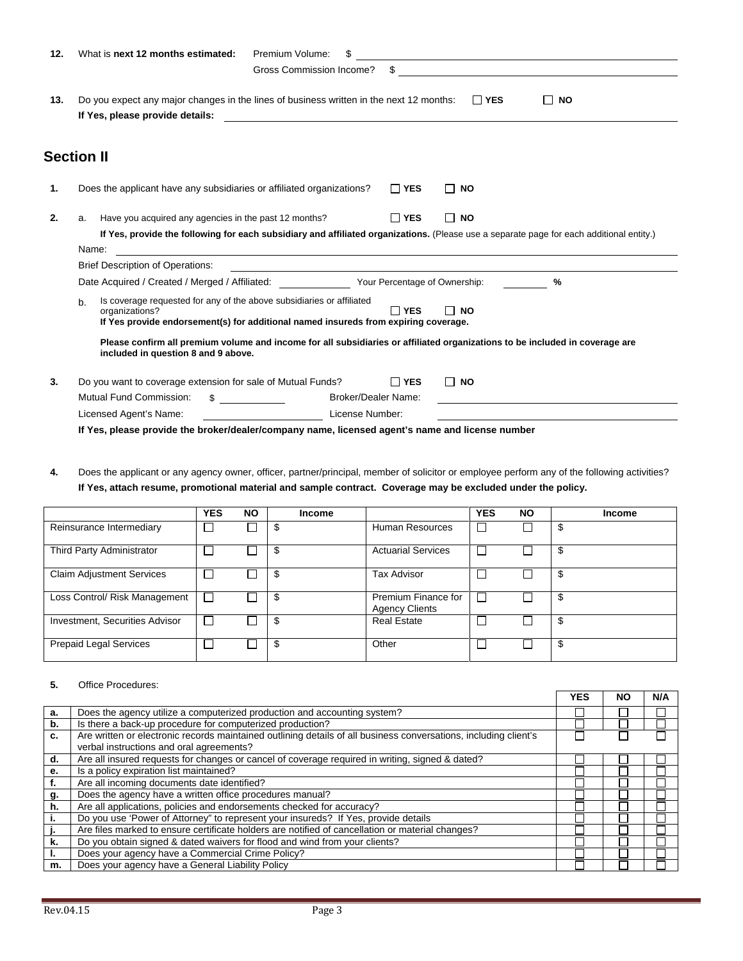| What is next 12 months estimated:<br>Premium Volume:<br>12.                                                                                                                                   |                                                                                                                                                                     |  |  |  |  |  |  |  |  |
|-----------------------------------------------------------------------------------------------------------------------------------------------------------------------------------------------|---------------------------------------------------------------------------------------------------------------------------------------------------------------------|--|--|--|--|--|--|--|--|
| Gross Commission Income?<br>\$                                                                                                                                                                |                                                                                                                                                                     |  |  |  |  |  |  |  |  |
| Do you expect any major changes in the lines of business written in the next 12 months:<br>$\Box$ YES<br>13.<br><b>NO</b><br>$\Box$                                                           |                                                                                                                                                                     |  |  |  |  |  |  |  |  |
| <b>Section II</b>                                                                                                                                                                             |                                                                                                                                                                     |  |  |  |  |  |  |  |  |
| Does the applicant have any subsidiaries or affiliated organizations?<br>$\Box$ YES                                                                                                           | <b>NO</b><br>ΙI                                                                                                                                                     |  |  |  |  |  |  |  |  |
| Have you acquired any agencies in the past 12 months?<br>a.                                                                                                                                   | $\Box$ YES<br><b>NO</b><br>If Yes, provide the following for each subsidiary and affiliated organizations. (Please use a separate page for each additional entity.) |  |  |  |  |  |  |  |  |
| <b>Brief Description of Operations:</b>                                                                                                                                                       |                                                                                                                                                                     |  |  |  |  |  |  |  |  |
| Date Acquired / Created / Merged / Affiliated: Your Percentage of Ownership:                                                                                                                  | %                                                                                                                                                                   |  |  |  |  |  |  |  |  |
| Is coverage requested for any of the above subsidiaries or affiliated<br>b.<br>organizations?<br>Π YES<br>If Yes provide endorsement(s) for additional named insureds from expiring coverage. | <b>NO</b>                                                                                                                                                           |  |  |  |  |  |  |  |  |
| Please confirm all premium volume and income for all subsidiaries or affiliated organizations to be included in coverage are<br>included in question 8 and 9 above.                           |                                                                                                                                                                     |  |  |  |  |  |  |  |  |
| Do you want to coverage extension for sale of Mutual Funds?<br>$\Box$ YES                                                                                                                     | П<br><b>NO</b>                                                                                                                                                      |  |  |  |  |  |  |  |  |
|                                                                                                                                                                                               |                                                                                                                                                                     |  |  |  |  |  |  |  |  |
| <b>Mutual Fund Commission:</b><br><b>Broker/Dealer Name:</b><br>\$.                                                                                                                           |                                                                                                                                                                     |  |  |  |  |  |  |  |  |
|                                                                                                                                                                                               | <u> 1989 - Andrea State Barbara, amerikan basar dan berasal dan berasal dalam basa dan berasal dan berasal dalam</u><br>Name:                                       |  |  |  |  |  |  |  |  |

**4.** Does the applicant or any agency owner, officer, partner/principal, member of solicitor or employee perform any of the following activities? **If Yes, attach resume, promotional material and sample contract. Coverage may be excluded under the policy.**

|                                       | <b>YES</b> | <b>NO</b> | <b>Income</b> |                                              | <b>YES</b> | <b>NO</b> | <b>Income</b> |
|---------------------------------------|------------|-----------|---------------|----------------------------------------------|------------|-----------|---------------|
| Reinsurance Intermediary              |            |           |               | <b>Human Resources</b>                       |            |           |               |
| Third Party Administrator             |            |           | -5            | <b>Actuarial Services</b>                    |            |           | Ъ             |
| <b>Claim Adjustment Services</b>      |            |           | - \$          | <b>Tax Advisor</b>                           |            |           | \$            |
| Loss Control/ Risk Management         |            |           | - \$          | Premium Finance for<br><b>Agency Clients</b> |            |           | S             |
| <b>Investment, Securities Advisor</b> |            |           | -5            | <b>Real Estate</b>                           |            |           | £.            |
| Prepaid Legal Services                |            |           | \$            | Other                                        |            |           | \$            |

## **5.** Office Procedures:

|    |                                                                                                                                                              | <b>YES</b> | <b>NO</b> | N/A |
|----|--------------------------------------------------------------------------------------------------------------------------------------------------------------|------------|-----------|-----|
| a. | Does the agency utilize a computerized production and accounting system?                                                                                     |            |           |     |
| b. | Is there a back-up procedure for computerized production?                                                                                                    |            |           |     |
| c. | Are written or electronic records maintained outlining details of all business conversations, including client's<br>verbal instructions and oral agreements? |            |           |     |
| d. | Are all insured requests for changes or cancel of coverage required in writing, signed & dated?                                                              |            |           |     |
| е. | Is a policy expiration list maintained?                                                                                                                      |            |           |     |
| f. | Are all incoming documents date identified?                                                                                                                  |            |           |     |
| g. | Does the agency have a written office procedures manual?                                                                                                     |            |           |     |
| h. | Are all applications, policies and endorsements checked for accuracy?                                                                                        |            |           |     |
|    | Do you use 'Power of Attorney" to represent your insureds? If Yes, provide details                                                                           |            |           |     |
|    | Are files marked to ensure certificate holders are notified of cancellation or material changes?                                                             |            |           |     |
| k. | Do you obtain signed & dated waivers for flood and wind from your clients?                                                                                   |            |           |     |
|    | Does your agency have a Commercial Crime Policy?                                                                                                             |            |           |     |
| m. | Does your agency have a General Liability Policy                                                                                                             |            |           |     |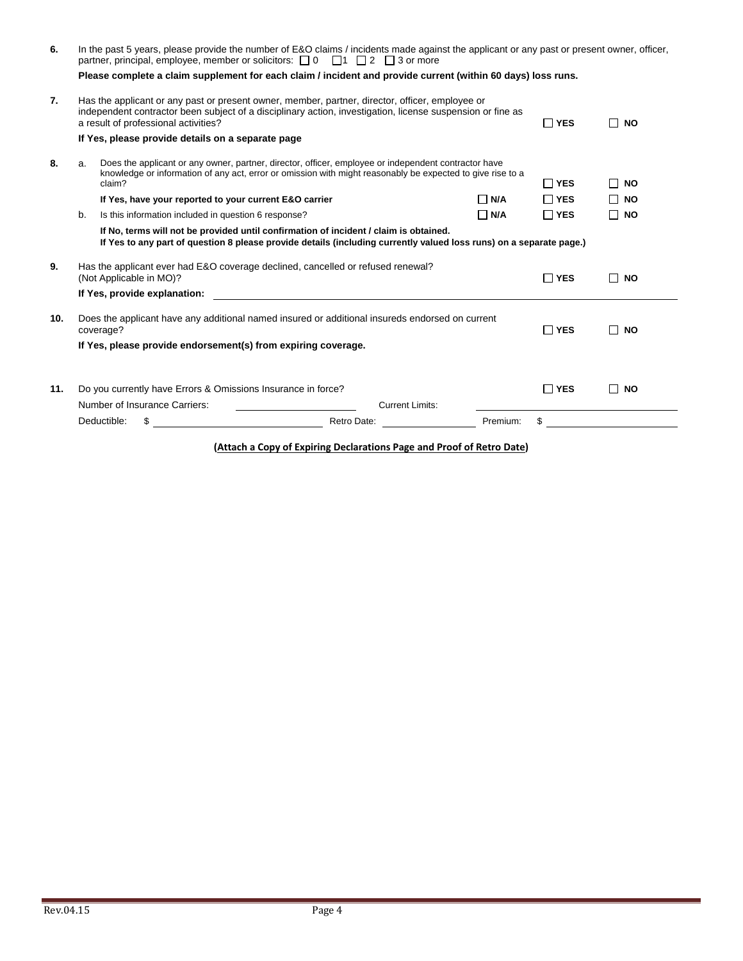|     | In the past 5 years, please provide the number of E&O claims / incidents made against the applicant or any past or present owner, officer,<br>partner, principal, employee, member or solicitors: $\Box$ 0 $\Box$ 1 $\Box$ 2 $\Box$ 3 or more |                                                                                                                                                                                                                                                       |                        |            |               |                           |
|-----|-----------------------------------------------------------------------------------------------------------------------------------------------------------------------------------------------------------------------------------------------|-------------------------------------------------------------------------------------------------------------------------------------------------------------------------------------------------------------------------------------------------------|------------------------|------------|---------------|---------------------------|
|     |                                                                                                                                                                                                                                               | Please complete a claim supplement for each claim / incident and provide current (within 60 days) loss runs.                                                                                                                                          |                        |            |               |                           |
| 7.  |                                                                                                                                                                                                                                               | Has the applicant or any past or present owner, member, partner, director, officer, employee or<br>independent contractor been subject of a disciplinary action, investigation, license suspension or fine as<br>a result of professional activities? |                        |            | $\Box$ YES    | <b>NO</b><br>П            |
|     |                                                                                                                                                                                                                                               | If Yes, please provide details on a separate page                                                                                                                                                                                                     |                        |            |               |                           |
| 8.  | a.                                                                                                                                                                                                                                            | Does the applicant or any owner, partner, director, officer, employee or independent contractor have<br>knowledge or information of any act, error or omission with might reasonably be expected to give rise to a<br>claim?                          |                        |            | $\Box$ YES    | <b>NO</b><br>$\mathsf{L}$ |
|     |                                                                                                                                                                                                                                               | If Yes, have your reported to your current E&O carrier                                                                                                                                                                                                |                        | $\Box$ N/A | $\Box$ YES    | $\Box$ NO                 |
|     | b.                                                                                                                                                                                                                                            | Is this information included in question 6 response?                                                                                                                                                                                                  |                        | $\Box$ N/A | $\Box$ YES    | $\square$ NO              |
|     |                                                                                                                                                                                                                                               | If No, terms will not be provided until confirmation of incident / claim is obtained.<br>If Yes to any part of question 8 please provide details (including currently valued loss runs) on a separate page.)                                          |                        |            |               |                           |
| 9.  |                                                                                                                                                                                                                                               | Has the applicant ever had E&O coverage declined, cancelled or refused renewal?<br>(Not Applicable in MO)?                                                                                                                                            |                        |            | $\Box$ YES    | $\Box$ NO                 |
|     |                                                                                                                                                                                                                                               | If Yes, provide explanation:                                                                                                                                                                                                                          |                        |            |               |                           |
| 10. |                                                                                                                                                                                                                                               | Does the applicant have any additional named insured or additional insureds endorsed on current<br>coverage?                                                                                                                                          |                        |            | $\square$ YES | <b>NO</b><br>$\mathsf{L}$ |
|     |                                                                                                                                                                                                                                               | If Yes, please provide endorsement(s) from expiring coverage.                                                                                                                                                                                         |                        |            |               |                           |
| 11. |                                                                                                                                                                                                                                               | Do you currently have Errors & Omissions Insurance in force?                                                                                                                                                                                          |                        |            | $\Box$ YES    | $\Box$ NO                 |
|     |                                                                                                                                                                                                                                               | Number of Insurance Carriers:                                                                                                                                                                                                                         | <b>Current Limits:</b> |            |               |                           |
|     |                                                                                                                                                                                                                                               |                                                                                                                                                                                                                                                       |                        |            |               |                           |
|     |                                                                                                                                                                                                                                               | Deductible:<br>\$                                                                                                                                                                                                                                     | Retro Date:            | Premium:   | \$            |                           |

**(Attach a Copy of Expiring Declarations Page and Proof of Retro Date)**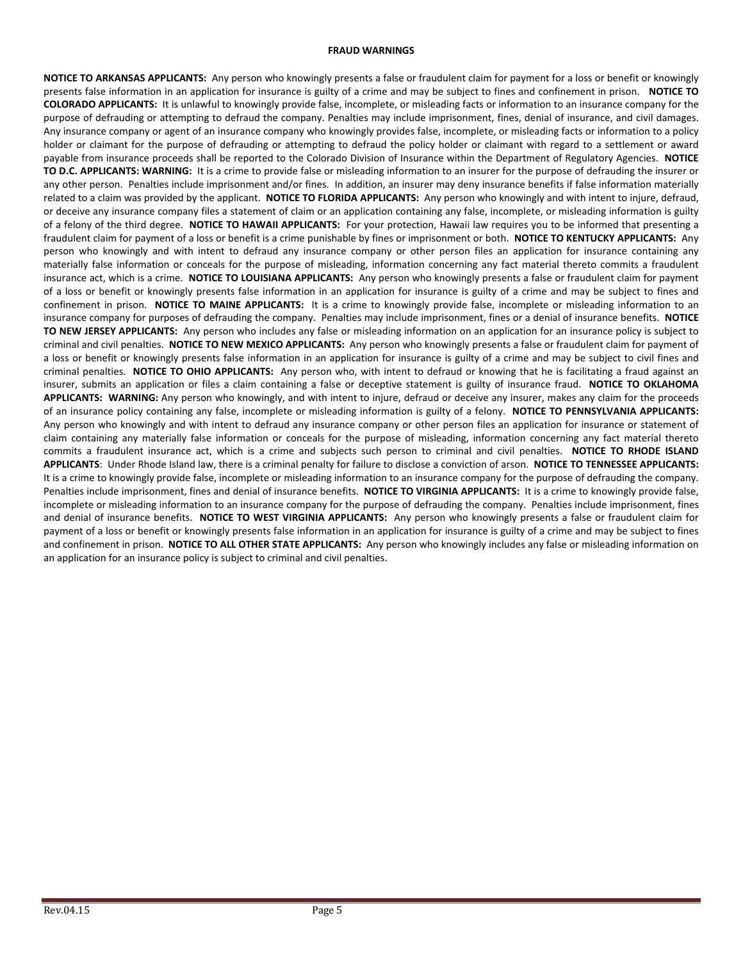### **FRAUD WARNINGS**

**NOTICE TO ARKANSAS APPLICANTS:** Any person who knowingly presents a false or fraudulent claim for payment for a loss or benefit or knowingly presents false information in an application for insurance is guilty of a crime and may be subject to fines and confinement in prison. **NOTICE TO COLORADO APPLICANTS:** It is unlawful to knowingly provide false, incomplete, or misleading facts or information to an insurance company for the purpose of defrauding or attempting to defraud the company. Penalties may include imprisonment, fines, denial of insurance, and civil damages. Any insurance company or agent of an insurance company who knowingly provides false, incomplete, or misleading facts or information to a policy holder or claimant for the purpose of defrauding or attempting to defraud the policy holder or claimant with regard to a settlement or award payable from insurance proceeds shall be reported to the Colorado Division of Insurance within the Department of Regulatory Agencies. **NOTICE TO D.C. APPLICANTS: WARNING:** It is a crime to provide false or misleading information to an insurer for the purpose of defrauding the insurer or any other person. Penalties include imprisonment and/or fines. In addition, an insurer may deny insurance benefits if false information materially related to a claim was provided by the applicant. **NOTICE TO FLORIDA APPLICANTS:** Any person who knowingly and with intent to injure, defraud, or deceive any insurance company files a statement of claim or an application containing any false, incomplete, or misleading information is guilty of a felony of the third degree. **NOTICE TO HAWAII APPLICANTS:** For your protection, Hawaii law requires you to be informed that presenting a fraudulent claim for payment of a loss or benefit is a crime punishable by fines or imprisonment or both. **NOTICE TO KENTUCKY APPLICANTS:** Any person who knowingly and with intent to defraud any insurance company or other person files an application for insurance containing any materially false information or conceals for the purpose of misleading, information concerning any fact material thereto commits a fraudulent insurance act, which is a crime. **NOTICE TO LOUISIANA APPLICANTS:** Any person who knowingly presents a false or fraudulent claim for payment of a loss or benefit or knowingly presents false information in an application for insurance is guilty of a crime and may be subject to fines and confinement in prison. **NOTICE TO MAINE APPLICANTS:** It is a crime to knowingly provide false, incomplete or misleading information to an insurance company for purposes of defrauding the company. Penalties may include imprisonment, fines or a denial of insurance benefits. **NOTICE TO NEW JERSEY APPLICANTS:** Any person who includes any false or misleading information on an application for an insurance policy is subject to criminal and civil penalties. **NOTICE TO NEW MEXICO APPLICANTS:** Any person who knowingly presents a false or fraudulent claim for payment of a loss or benefit or knowingly presents false information in an application for insurance is guilty of a crime and may be subject to civil fines and criminal penalties. **NOTICE TO OHIO APPLICANTS:** Any person who, with intent to defraud or knowing that he is facilitating a fraud against an insurer, submits an application or files a claim containing a false or deceptive statement is guilty of insurance fraud. **NOTICE TO OKLAHOMA APPLICANTS: WARNING:** Any person who knowingly, and with intent to injure, defraud or deceive any insurer, makes any claim for the proceeds of an insurance policy containing any false, incomplete or misleading information is guilty of a felony. **NOTICE TO PENNSYLVANIA APPLICANTS:** Any person who knowingly and with intent to defraud any insurance company or other person files an application for insurance or statement of claim containing any materially false information or conceals for the purpose of misleading, information concerning any fact material thereto commits a fraudulent insurance act, which is a crime and subjects such person to criminal and civil penalties. **NOTICE TO RHODE ISLAND APPLICANTS**: Under Rhode Island law, there is a criminal penalty for failure to disclose a conviction of arson. **NOTICE TO TENNESSEE APPLICANTS:**  It is a crime to knowingly provide false, incomplete or misleading information to an insurance company for the purpose of defrauding the company. Penalties include imprisonment, fines and denial of insurance benefits. **NOTICE TO VIRGINIA APPLICANTS:** It is a crime to knowingly provide false, incomplete or misleading information to an insurance company for the purpose of defrauding the company. Penalties include imprisonment, fines and denial of insurance benefits. **NOTICE TO WEST VIRGINIA APPLICANTS:** Any person who knowingly presents a false or fraudulent claim for payment of a loss or benefit or knowingly presents false information in an application for insurance is guilty of a crime and may be subject to fines and confinement in prison. **NOTICE TO ALL OTHER STATE APPLICANTS:** Any person who knowingly includes any false or misleading information on an application for an insurance policy is subject to criminal and civil penalties.